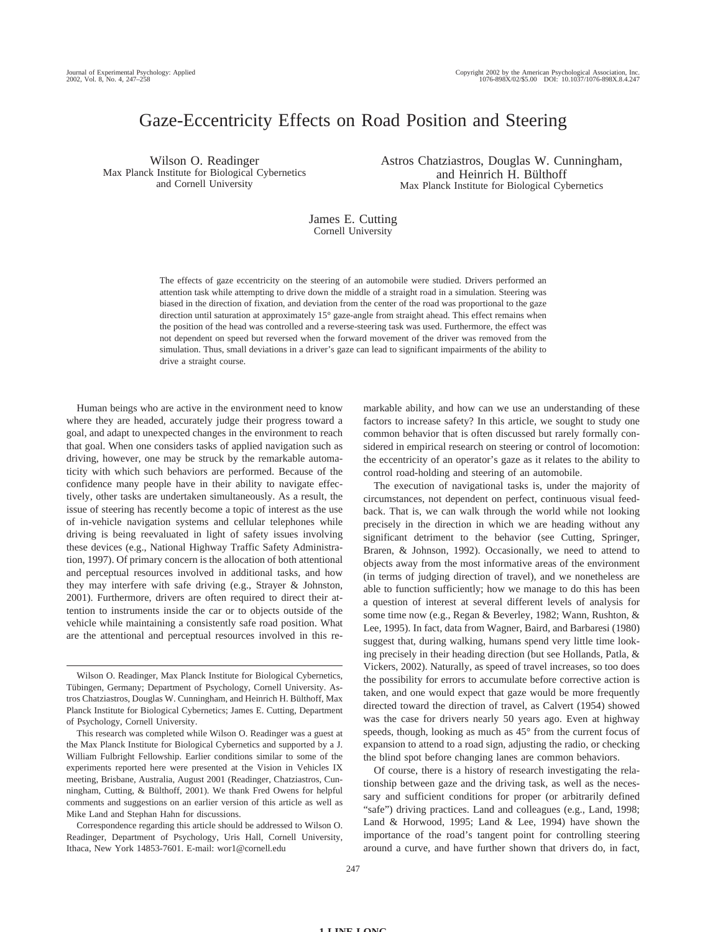# Gaze-Eccentricity Effects on Road Position and Steering

Wilson O. Readinger Max Planck Institute for Biological Cybernetics and Cornell University

Astros Chatziastros, Douglas W. Cunningham, and Heinrich H. Bülthoff Max Planck Institute for Biological Cybernetics

James E. Cutting Cornell University

The effects of gaze eccentricity on the steering of an automobile were studied. Drivers performed an attention task while attempting to drive down the middle of a straight road in a simulation. Steering was biased in the direction of fixation, and deviation from the center of the road was proportional to the gaze direction until saturation at approximately 15° gaze-angle from straight ahead. This effect remains when the position of the head was controlled and a reverse-steering task was used. Furthermore, the effect was not dependent on speed but reversed when the forward movement of the driver was removed from the simulation. Thus, small deviations in a driver's gaze can lead to significant impairments of the ability to drive a straight course.

Human beings who are active in the environment need to know where they are headed, accurately judge their progress toward a goal, and adapt to unexpected changes in the environment to reach that goal. When one considers tasks of applied navigation such as driving, however, one may be struck by the remarkable automaticity with which such behaviors are performed. Because of the confidence many people have in their ability to navigate effectively, other tasks are undertaken simultaneously. As a result, the issue of steering has recently become a topic of interest as the use of in-vehicle navigation systems and cellular telephones while driving is being reevaluated in light of safety issues involving these devices (e.g., National Highway Traffic Safety Administration, 1997). Of primary concern is the allocation of both attentional and perceptual resources involved in additional tasks, and how they may interfere with safe driving (e.g., Strayer & Johnston, 2001). Furthermore, drivers are often required to direct their attention to instruments inside the car or to objects outside of the vehicle while maintaining a consistently safe road position. What are the attentional and perceptual resources involved in this re-

247

markable ability, and how can we use an understanding of these factors to increase safety? In this article, we sought to study one common behavior that is often discussed but rarely formally considered in empirical research on steering or control of locomotion: the eccentricity of an operator's gaze as it relates to the ability to control road-holding and steering of an automobile.

The execution of navigational tasks is, under the majority of circumstances, not dependent on perfect, continuous visual feedback. That is, we can walk through the world while not looking precisely in the direction in which we are heading without any significant detriment to the behavior (see Cutting, Springer, Braren, & Johnson, 1992). Occasionally, we need to attend to objects away from the most informative areas of the environment (in terms of judging direction of travel), and we nonetheless are able to function sufficiently; how we manage to do this has been a question of interest at several different levels of analysis for some time now (e.g., Regan & Beverley, 1982; Wann, Rushton, & Lee, 1995). In fact, data from Wagner, Baird, and Barbaresi (1980) suggest that, during walking, humans spend very little time looking precisely in their heading direction (but see Hollands, Patla, & Vickers, 2002). Naturally, as speed of travel increases, so too does the possibility for errors to accumulate before corrective action is taken, and one would expect that gaze would be more frequently directed toward the direction of travel, as Calvert (1954) showed was the case for drivers nearly 50 years ago. Even at highway speeds, though, looking as much as 45° from the current focus of expansion to attend to a road sign, adjusting the radio, or checking the blind spot before changing lanes are common behaviors.

Of course, there is a history of research investigating the relationship between gaze and the driving task, as well as the necessary and sufficient conditions for proper (or arbitrarily defined "safe") driving practices. Land and colleagues (e.g., Land, 1998; Land & Horwood, 1995; Land & Lee, 1994) have shown the importance of the road's tangent point for controlling steering around a curve, and have further shown that drivers do, in fact,

Wilson O. Readinger, Max Planck Institute for Biological Cybernetics, Tübingen, Germany; Department of Psychology, Cornell University. Astros Chatziastros, Douglas W. Cunningham, and Heinrich H. Bülthoff, Max Planck Institute for Biological Cybernetics; James E. Cutting, Department of Psychology, Cornell University.

This research was completed while Wilson O. Readinger was a guest at the Max Planck Institute for Biological Cybernetics and supported by a J. William Fulbright Fellowship. Earlier conditions similar to some of the experiments reported here were presented at the Vision in Vehicles IX meeting, Brisbane, Australia, August 2001 (Readinger, Chatziastros, Cunningham, Cutting,  $& B\ddot{\text{u}}$  lthoff, 2001). We thank Fred Owens for helpful comments and suggestions on an earlier version of this article as well as Mike Land and Stephan Hahn for discussions.

Correspondence regarding this article should be addressed to Wilson O. Readinger, Department of Psychology, Uris Hall, Cornell University, Ithaca, New York 14853-7601. E-mail: wor1@cornell.edu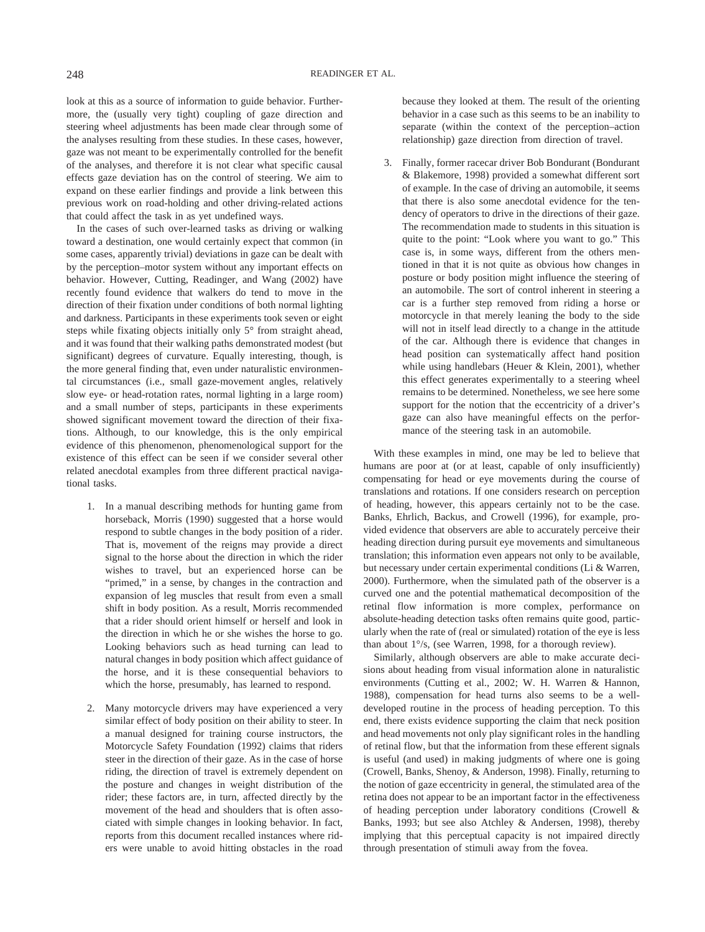look at this as a source of information to guide behavior. Furthermore, the (usually very tight) coupling of gaze direction and steering wheel adjustments has been made clear through some of the analyses resulting from these studies. In these cases, however, gaze was not meant to be experimentally controlled for the benefit of the analyses, and therefore it is not clear what specific causal effects gaze deviation has on the control of steering. We aim to expand on these earlier findings and provide a link between this previous work on road-holding and other driving-related actions that could affect the task in as yet undefined ways.

In the cases of such over-learned tasks as driving or walking toward a destination, one would certainly expect that common (in some cases, apparently trivial) deviations in gaze can be dealt with by the perception–motor system without any important effects on behavior. However, Cutting, Readinger, and Wang (2002) have recently found evidence that walkers do tend to move in the direction of their fixation under conditions of both normal lighting and darkness. Participants in these experiments took seven or eight steps while fixating objects initially only 5° from straight ahead, and it was found that their walking paths demonstrated modest (but significant) degrees of curvature. Equally interesting, though, is the more general finding that, even under naturalistic environmental circumstances (i.e., small gaze-movement angles, relatively slow eye- or head-rotation rates, normal lighting in a large room) and a small number of steps, participants in these experiments showed significant movement toward the direction of their fixations. Although, to our knowledge, this is the only empirical evidence of this phenomenon, phenomenological support for the existence of this effect can be seen if we consider several other related anecdotal examples from three different practical navigational tasks.

- 1. In a manual describing methods for hunting game from horseback, Morris (1990) suggested that a horse would respond to subtle changes in the body position of a rider. That is, movement of the reigns may provide a direct signal to the horse about the direction in which the rider wishes to travel, but an experienced horse can be "primed," in a sense, by changes in the contraction and expansion of leg muscles that result from even a small shift in body position. As a result, Morris recommended that a rider should orient himself or herself and look in the direction in which he or she wishes the horse to go. Looking behaviors such as head turning can lead to natural changes in body position which affect guidance of the horse, and it is these consequential behaviors to which the horse, presumably, has learned to respond.
- 2. Many motorcycle drivers may have experienced a very similar effect of body position on their ability to steer. In a manual designed for training course instructors, the Motorcycle Safety Foundation (1992) claims that riders steer in the direction of their gaze. As in the case of horse riding, the direction of travel is extremely dependent on the posture and changes in weight distribution of the rider; these factors are, in turn, affected directly by the movement of the head and shoulders that is often associated with simple changes in looking behavior. In fact, reports from this document recalled instances where riders were unable to avoid hitting obstacles in the road

because they looked at them. The result of the orienting behavior in a case such as this seems to be an inability to separate (within the context of the perception–action relationship) gaze direction from direction of travel.

3. Finally, former racecar driver Bob Bondurant (Bondurant & Blakemore, 1998) provided a somewhat different sort of example. In the case of driving an automobile, it seems that there is also some anecdotal evidence for the tendency of operators to drive in the directions of their gaze. The recommendation made to students in this situation is quite to the point: "Look where you want to go." This case is, in some ways, different from the others mentioned in that it is not quite as obvious how changes in posture or body position might influence the steering of an automobile. The sort of control inherent in steering a car is a further step removed from riding a horse or motorcycle in that merely leaning the body to the side will not in itself lead directly to a change in the attitude of the car. Although there is evidence that changes in head position can systematically affect hand position while using handlebars (Heuer & Klein, 2001), whether this effect generates experimentally to a steering wheel remains to be determined. Nonetheless, we see here some support for the notion that the eccentricity of a driver's gaze can also have meaningful effects on the performance of the steering task in an automobile.

With these examples in mind, one may be led to believe that humans are poor at (or at least, capable of only insufficiently) compensating for head or eye movements during the course of translations and rotations. If one considers research on perception of heading, however, this appears certainly not to be the case. Banks, Ehrlich, Backus, and Crowell (1996), for example, provided evidence that observers are able to accurately perceive their heading direction during pursuit eye movements and simultaneous translation; this information even appears not only to be available, but necessary under certain experimental conditions (Li & Warren, 2000). Furthermore, when the simulated path of the observer is a curved one and the potential mathematical decomposition of the retinal flow information is more complex, performance on absolute-heading detection tasks often remains quite good, particularly when the rate of (real or simulated) rotation of the eye is less than about 1°/s, (see Warren, 1998, for a thorough review).

Similarly, although observers are able to make accurate decisions about heading from visual information alone in naturalistic environments (Cutting et al., 2002; W. H. Warren & Hannon, 1988), compensation for head turns also seems to be a welldeveloped routine in the process of heading perception. To this end, there exists evidence supporting the claim that neck position and head movements not only play significant roles in the handling of retinal flow, but that the information from these efferent signals is useful (and used) in making judgments of where one is going (Crowell, Banks, Shenoy, & Anderson, 1998). Finally, returning to the notion of gaze eccentricity in general, the stimulated area of the retina does not appear to be an important factor in the effectiveness of heading perception under laboratory conditions (Crowell & Banks, 1993; but see also Atchley & Andersen, 1998), thereby implying that this perceptual capacity is not impaired directly through presentation of stimuli away from the fovea.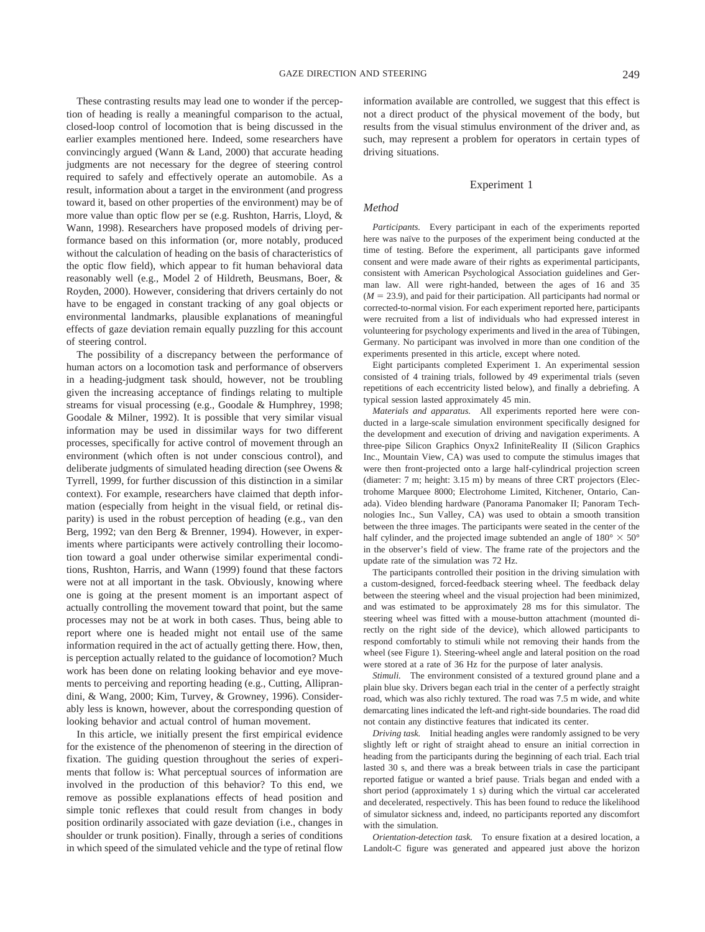These contrasting results may lead one to wonder if the perception of heading is really a meaningful comparison to the actual, closed-loop control of locomotion that is being discussed in the earlier examples mentioned here. Indeed, some researchers have convincingly argued (Wann & Land, 2000) that accurate heading judgments are not necessary for the degree of steering control required to safely and effectively operate an automobile. As a result, information about a target in the environment (and progress toward it, based on other properties of the environment) may be of more value than optic flow per se (e.g. Rushton, Harris, Lloyd, & Wann, 1998). Researchers have proposed models of driving performance based on this information (or, more notably, produced without the calculation of heading on the basis of characteristics of the optic flow field), which appear to fit human behavioral data reasonably well (e.g., Model 2 of Hildreth, Beusmans, Boer, & Royden, 2000). However, considering that drivers certainly do not have to be engaged in constant tracking of any goal objects or environmental landmarks, plausible explanations of meaningful effects of gaze deviation remain equally puzzling for this account of steering control.

The possibility of a discrepancy between the performance of human actors on a locomotion task and performance of observers in a heading-judgment task should, however, not be troubling given the increasing acceptance of findings relating to multiple streams for visual processing (e.g., Goodale & Humphrey, 1998; Goodale & Milner, 1992). It is possible that very similar visual information may be used in dissimilar ways for two different processes, specifically for active control of movement through an environment (which often is not under conscious control), and deliberate judgments of simulated heading direction (see Owens & Tyrrell, 1999, for further discussion of this distinction in a similar context). For example, researchers have claimed that depth information (especially from height in the visual field, or retinal disparity) is used in the robust perception of heading (e.g., van den Berg, 1992; van den Berg & Brenner, 1994). However, in experiments where participants were actively controlling their locomotion toward a goal under otherwise similar experimental conditions, Rushton, Harris, and Wann (1999) found that these factors were not at all important in the task. Obviously, knowing where one is going at the present moment is an important aspect of actually controlling the movement toward that point, but the same processes may not be at work in both cases. Thus, being able to report where one is headed might not entail use of the same information required in the act of actually getting there. How, then, is perception actually related to the guidance of locomotion? Much work has been done on relating looking behavior and eye movements to perceiving and reporting heading (e.g., Cutting, Alliprandini, & Wang, 2000; Kim, Turvey, & Growney, 1996). Considerably less is known, however, about the corresponding question of looking behavior and actual control of human movement.

In this article, we initially present the first empirical evidence for the existence of the phenomenon of steering in the direction of fixation. The guiding question throughout the series of experiments that follow is: What perceptual sources of information are involved in the production of this behavior? To this end, we remove as possible explanations effects of head position and simple tonic reflexes that could result from changes in body position ordinarily associated with gaze deviation (i.e., changes in shoulder or trunk position). Finally, through a series of conditions in which speed of the simulated vehicle and the type of retinal flow information available are controlled, we suggest that this effect is not a direct product of the physical movement of the body, but results from the visual stimulus environment of the driver and, as such, may represent a problem for operators in certain types of driving situations.

# Experiment 1

# *Method*

*Participants.* Every participant in each of the experiments reported here was naïve to the purposes of the experiment being conducted at the time of testing. Before the experiment, all participants gave informed consent and were made aware of their rights as experimental participants, consistent with American Psychological Association guidelines and German law. All were right-handed, between the ages of 16 and 35  $(M = 23.9)$ , and paid for their participation. All participants had normal or corrected-to-normal vision. For each experiment reported here, participants were recruited from a list of individuals who had expressed interest in volunteering for psychology experiments and lived in the area of Tübingen, Germany. No participant was involved in more than one condition of the experiments presented in this article, except where noted.

Eight participants completed Experiment 1. An experimental session consisted of 4 training trials, followed by 49 experimental trials (seven repetitions of each eccentricity listed below), and finally a debriefing. A typical session lasted approximately 45 min.

*Materials and apparatus.* All experiments reported here were conducted in a large-scale simulation environment specifically designed for the development and execution of driving and navigation experiments. A three-pipe Silicon Graphics Onyx2 InfiniteReality II (Silicon Graphics Inc., Mountain View, CA) was used to compute the stimulus images that were then front-projected onto a large half-cylindrical projection screen (diameter: 7 m; height: 3.15 m) by means of three CRT projectors (Electrohome Marquee 8000; Electrohome Limited, Kitchener, Ontario, Canada). Video blending hardware (Panorama Panomaker II; Panoram Technologies Inc., Sun Valley, CA) was used to obtain a smooth transition between the three images. The participants were seated in the center of the half cylinder, and the projected image subtended an angle of  $180^{\circ} \times 50^{\circ}$ in the observer's field of view. The frame rate of the projectors and the update rate of the simulation was 72 Hz.

The participants controlled their position in the driving simulation with a custom-designed, forced-feedback steering wheel. The feedback delay between the steering wheel and the visual projection had been minimized, and was estimated to be approximately 28 ms for this simulator. The steering wheel was fitted with a mouse-button attachment (mounted directly on the right side of the device), which allowed participants to respond comfortably to stimuli while not removing their hands from the wheel (see Figure 1). Steering-wheel angle and lateral position on the road were stored at a rate of 36 Hz for the purpose of later analysis.

*Stimuli.* The environment consisted of a textured ground plane and a plain blue sky. Drivers began each trial in the center of a perfectly straight road, which was also richly textured. The road was 7.5 m wide, and white demarcating lines indicated the left-and right-side boundaries. The road did not contain any distinctive features that indicated its center.

*Driving task.* Initial heading angles were randomly assigned to be very slightly left or right of straight ahead to ensure an initial correction in heading from the participants during the beginning of each trial. Each trial lasted 30 s, and there was a break between trials in case the participant reported fatigue or wanted a brief pause. Trials began and ended with a short period (approximately 1 s) during which the virtual car accelerated and decelerated, respectively. This has been found to reduce the likelihood of simulator sickness and, indeed, no participants reported any discomfort with the simulation.

*Orientation-detection task.* To ensure fixation at a desired location, a Landolt-C figure was generated and appeared just above the horizon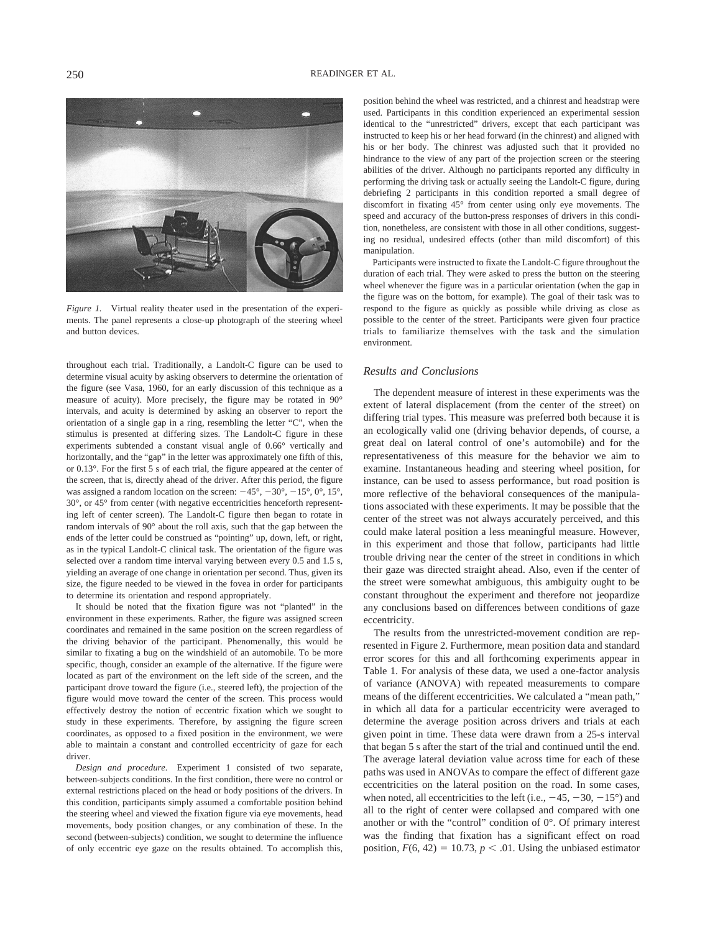

*Figure 1.* Virtual reality theater used in the presentation of the experiments. The panel represents a close-up photograph of the steering wheel and button devices.

throughout each trial. Traditionally, a Landolt-C figure can be used to determine visual acuity by asking observers to determine the orientation of the figure (see Vasa, 1960, for an early discussion of this technique as a measure of acuity). More precisely, the figure may be rotated in 90° intervals, and acuity is determined by asking an observer to report the orientation of a single gap in a ring, resembling the letter "C", when the stimulus is presented at differing sizes. The Landolt-C figure in these experiments subtended a constant visual angle of 0.66° vertically and horizontally, and the "gap" in the letter was approximately one fifth of this, or 0.13°. For the first 5 s of each trial, the figure appeared at the center of the screen, that is, directly ahead of the driver. After this period, the figure was assigned a random location on the screen:  $-45^{\circ}$ ,  $-30^{\circ}$ ,  $-15^{\circ}$ ,  $0^{\circ}$ ,  $15^{\circ}$ , 30°, or 45° from center (with negative eccentricities henceforth representing left of center screen). The Landolt-C figure then began to rotate in random intervals of 90° about the roll axis, such that the gap between the ends of the letter could be construed as "pointing" up, down, left, or right, as in the typical Landolt-C clinical task. The orientation of the figure was selected over a random time interval varying between every 0.5 and 1.5 s, yielding an average of one change in orientation per second. Thus, given its size, the figure needed to be viewed in the fovea in order for participants to determine its orientation and respond appropriately.

It should be noted that the fixation figure was not "planted" in the environment in these experiments. Rather, the figure was assigned screen coordinates and remained in the same position on the screen regardless of the driving behavior of the participant. Phenomenally, this would be similar to fixating a bug on the windshield of an automobile. To be more specific, though, consider an example of the alternative. If the figure were located as part of the environment on the left side of the screen, and the participant drove toward the figure (i.e., steered left), the projection of the figure would move toward the center of the screen. This process would effectively destroy the notion of eccentric fixation which we sought to study in these experiments. Therefore, by assigning the figure screen coordinates, as opposed to a fixed position in the environment, we were able to maintain a constant and controlled eccentricity of gaze for each driver.

*Design and procedure.* Experiment 1 consisted of two separate, between-subjects conditions. In the first condition, there were no control or external restrictions placed on the head or body positions of the drivers. In this condition, participants simply assumed a comfortable position behind the steering wheel and viewed the fixation figure via eye movements, head movements, body position changes, or any combination of these. In the second (between-subjects) condition, we sought to determine the influence of only eccentric eye gaze on the results obtained. To accomplish this,

position behind the wheel was restricted, and a chinrest and headstrap were used. Participants in this condition experienced an experimental session identical to the "unrestricted" drivers, except that each participant was instructed to keep his or her head forward (in the chinrest) and aligned with his or her body. The chinrest was adjusted such that it provided no hindrance to the view of any part of the projection screen or the steering abilities of the driver. Although no participants reported any difficulty in performing the driving task or actually seeing the Landolt-C figure, during debriefing 2 participants in this condition reported a small degree of discomfort in fixating 45° from center using only eye movements. The speed and accuracy of the button-press responses of drivers in this condition, nonetheless, are consistent with those in all other conditions, suggesting no residual, undesired effects (other than mild discomfort) of this manipulation.

Participants were instructed to fixate the Landolt-C figure throughout the duration of each trial. They were asked to press the button on the steering wheel whenever the figure was in a particular orientation (when the gap in the figure was on the bottom, for example). The goal of their task was to respond to the figure as quickly as possible while driving as close as possible to the center of the street. Participants were given four practice trials to familiarize themselves with the task and the simulation environment.

# *Results and Conclusions*

The dependent measure of interest in these experiments was the extent of lateral displacement (from the center of the street) on differing trial types. This measure was preferred both because it is an ecologically valid one (driving behavior depends, of course, a great deal on lateral control of one's automobile) and for the representativeness of this measure for the behavior we aim to examine. Instantaneous heading and steering wheel position, for instance, can be used to assess performance, but road position is more reflective of the behavioral consequences of the manipulations associated with these experiments. It may be possible that the center of the street was not always accurately perceived, and this could make lateral position a less meaningful measure. However, in this experiment and those that follow, participants had little trouble driving near the center of the street in conditions in which their gaze was directed straight ahead. Also, even if the center of the street were somewhat ambiguous, this ambiguity ought to be constant throughout the experiment and therefore not jeopardize any conclusions based on differences between conditions of gaze eccentricity.

The results from the unrestricted-movement condition are represented in Figure 2. Furthermore, mean position data and standard error scores for this and all forthcoming experiments appear in Table 1. For analysis of these data, we used a one-factor analysis of variance (ANOVA) with repeated measurements to compare means of the different eccentricities. We calculated a "mean path," in which all data for a particular eccentricity were averaged to determine the average position across drivers and trials at each given point in time. These data were drawn from a 25-s interval that began 5 s after the start of the trial and continued until the end. The average lateral deviation value across time for each of these paths was used in ANOVAs to compare the effect of different gaze eccentricities on the lateral position on the road. In some cases, when noted, all eccentricities to the left (i.e.,  $-45$ ,  $-30$ ,  $-15^{\circ}$ ) and all to the right of center were collapsed and compared with one another or with the "control" condition of  $0^\circ$ . Of primary interest was the finding that fixation has a significant effect on road position,  $F(6, 42) = 10.73$ ,  $p < .01$ . Using the unbiased estimator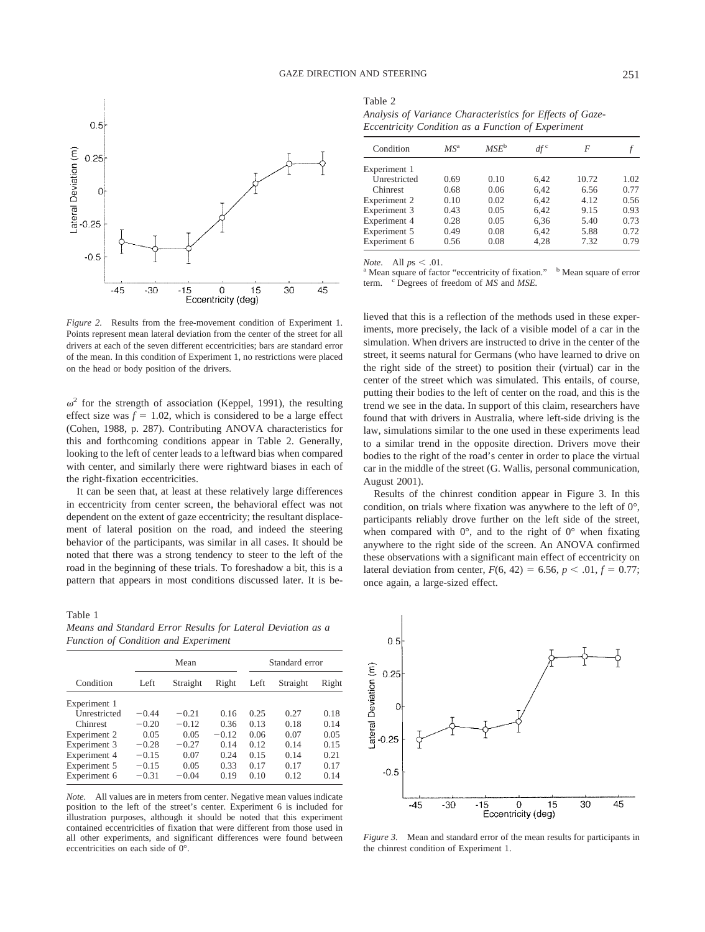

*Figure 2.* Results from the free-movement condition of Experiment 1. Points represent mean lateral deviation from the center of the street for all drivers at each of the seven different eccentricities; bars are standard error of the mean. In this condition of Experiment 1, no restrictions were placed on the head or body position of the drivers.

 $\omega^2$  for the strength of association (Keppel, 1991), the resulting effect size was  $f = 1.02$ , which is considered to be a large effect (Cohen, 1988, p. 287). Contributing ANOVA characteristics for this and forthcoming conditions appear in Table 2. Generally, looking to the left of center leads to a leftward bias when compared with center, and similarly there were rightward biases in each of the right-fixation eccentricities.

It can be seen that, at least at these relatively large differences in eccentricity from center screen, the behavioral effect was not dependent on the extent of gaze eccentricity; the resultant displacement of lateral position on the road, and indeed the steering behavior of the participants, was similar in all cases. It should be noted that there was a strong tendency to steer to the left of the road in the beginning of these trials. To foreshadow a bit, this is a pattern that appears in most conditions discussed later. It is be-

Table 1 *Means and Standard Error Results for Lateral Deviation as a Function of Condition and Experiment*

| Mean    |  |                                                                              | Standard error                                                   |       |  |
|---------|--|------------------------------------------------------------------------------|------------------------------------------------------------------|-------|--|
| Left    |  | Left                                                                         | Straight                                                         | Right |  |
|         |  |                                                                              |                                                                  |       |  |
| $-0.44$ |  | 0.25                                                                         | 0.27                                                             | 0.18  |  |
| $-0.20$ |  | 0.13                                                                         | 0.18                                                             | 0.14  |  |
| 0.05    |  | 0.06                                                                         | 0.07                                                             | 0.05  |  |
| $-0.28$ |  | 0.12                                                                         | 0.14                                                             | 0.15  |  |
| $-0.15$ |  | 0.15                                                                         | 0.14                                                             | 0.21  |  |
| $-0.15$ |  | 0.17                                                                         | 0.17                                                             | 0.17  |  |
| $-0.31$ |  | 0.10                                                                         | 0.12                                                             | 0.14  |  |
|         |  | Straight<br>$-0.21$<br>$-0.12$<br>0.05<br>$-0.27$<br>0.07<br>0.05<br>$-0.04$ | Right<br>0.16<br>0.36<br>$-0.12$<br>0.14<br>0.24<br>0.33<br>0.19 |       |  |

*Note.* All values are in meters from center. Negative mean values indicate position to the left of the street's center. Experiment 6 is included for illustration purposes, although it should be noted that this experiment contained eccentricities of fixation that were different from those used in all other experiments, and significant differences were found between eccentricities on each side of 0°.

| Table 2                                                   |
|-----------------------------------------------------------|
| Analysis of Variance Characteristics for Effects of Gaze- |
| Eccentricity Condition as a Function of Experiment        |

| Condition    | MS <sup>a</sup> | MSE <sup>b</sup> | $df^c$ | F     |      |
|--------------|-----------------|------------------|--------|-------|------|
| Experiment 1 |                 |                  |        |       |      |
| Unrestricted | 0.69            | 0.10             | 6,42   | 10.72 | 1.02 |
| Chinrest     | 0.68            | 0.06             | 6,42   | 6.56  | 0.77 |
| Experiment 2 | 0.10            | 0.02             | 6,42   | 4.12  | 0.56 |
| Experiment 3 | 0.43            | 0.05             | 6,42   | 9.15  | 0.93 |
| Experiment 4 | 0.28            | 0.05             | 6,36   | 5.40  | 0.73 |
| Experiment 5 | 0.49            | 0.08             | 6,42   | 5.88  | 0.72 |
| Experiment 6 | 0.56            | 0.08             | 4,28   | 7.32  | 0.79 |
|              |                 |                  |        |       |      |

*Note.* All  $ps < .01$ .<br><sup>a</sup> Mean square of factor "eccentricity of fixation." <sup>b</sup> Mean square of error term. <sup>c</sup> Degrees of freedom of *MS* and *MSE.*

lieved that this is a reflection of the methods used in these experiments, more precisely, the lack of a visible model of a car in the simulation. When drivers are instructed to drive in the center of the street, it seems natural for Germans (who have learned to drive on the right side of the street) to position their (virtual) car in the center of the street which was simulated. This entails, of course, putting their bodies to the left of center on the road, and this is the trend we see in the data. In support of this claim, researchers have found that with drivers in Australia, where left-side driving is the law, simulations similar to the one used in these experiments lead to a similar trend in the opposite direction. Drivers move their bodies to the right of the road's center in order to place the virtual car in the middle of the street (G. Wallis, personal communication, August 2001).

Results of the chinrest condition appear in Figure 3. In this condition, on trials where fixation was anywhere to the left of 0°, participants reliably drove further on the left side of the street, when compared with  $0^{\circ}$ , and to the right of  $0^{\circ}$  when fixating anywhere to the right side of the screen. An ANOVA confirmed these observations with a significant main effect of eccentricity on lateral deviation from center,  $F(6, 42) = 6.56$ ,  $p < .01$ ,  $f = 0.77$ ; once again, a large-sized effect.



*Figure 3.* Mean and standard error of the mean results for participants in the chinrest condition of Experiment 1.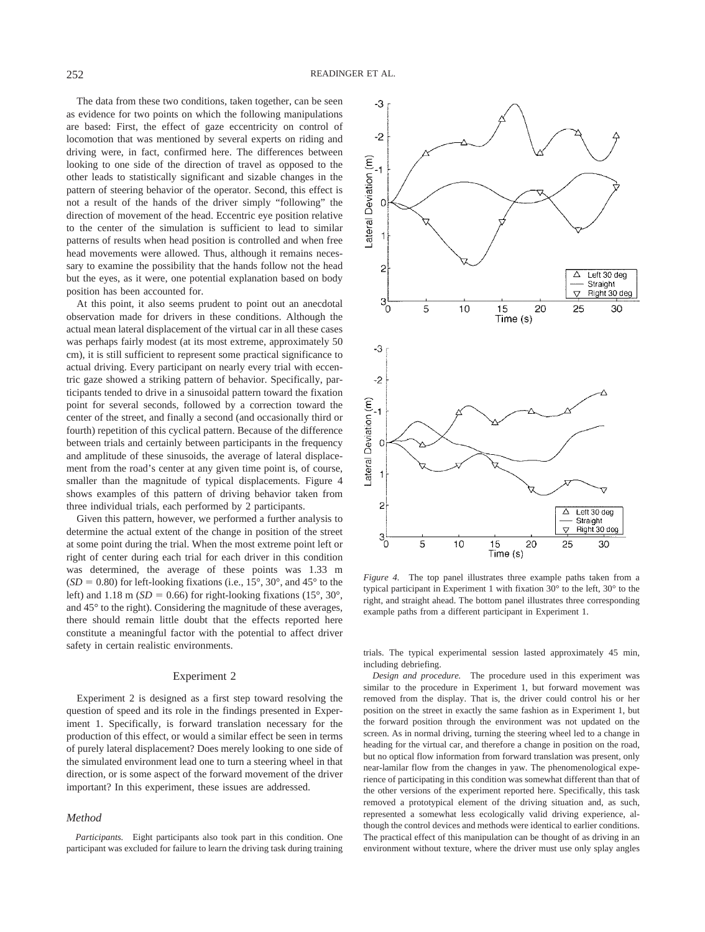The data from these two conditions, taken together, can be seen as evidence for two points on which the following manipulations are based: First, the effect of gaze eccentricity on control of locomotion that was mentioned by several experts on riding and driving were, in fact, confirmed here. The differences between looking to one side of the direction of travel as opposed to the other leads to statistically significant and sizable changes in the pattern of steering behavior of the operator. Second, this effect is not a result of the hands of the driver simply "following" the direction of movement of the head. Eccentric eye position relative to the center of the simulation is sufficient to lead to similar patterns of results when head position is controlled and when free head movements were allowed. Thus, although it remains necessary to examine the possibility that the hands follow not the head but the eyes, as it were, one potential explanation based on body position has been accounted for.

At this point, it also seems prudent to point out an anecdotal observation made for drivers in these conditions. Although the actual mean lateral displacement of the virtual car in all these cases was perhaps fairly modest (at its most extreme, approximately 50 cm), it is still sufficient to represent some practical significance to actual driving. Every participant on nearly every trial with eccentric gaze showed a striking pattern of behavior. Specifically, participants tended to drive in a sinusoidal pattern toward the fixation point for several seconds, followed by a correction toward the center of the street, and finally a second (and occasionally third or fourth) repetition of this cyclical pattern. Because of the difference between trials and certainly between participants in the frequency and amplitude of these sinusoids, the average of lateral displacement from the road's center at any given time point is, of course, smaller than the magnitude of typical displacements. Figure 4 shows examples of this pattern of driving behavior taken from three individual trials, each performed by 2 participants.

Given this pattern, however, we performed a further analysis to determine the actual extent of the change in position of the street at some point during the trial. When the most extreme point left or right of center during each trial for each driver in this condition was determined, the average of these points was 1.33 m  $(SD = 0.80)$  for left-looking fixations (i.e., 15°, 30°, and 45° to the left) and 1.18 m ( $SD = 0.66$ ) for right-looking fixations (15°, 30°, and 45° to the right). Considering the magnitude of these averages, there should remain little doubt that the effects reported here constitute a meaningful factor with the potential to affect driver safety in certain realistic environments.

## Experiment 2

Experiment 2 is designed as a first step toward resolving the question of speed and its role in the findings presented in Experiment 1. Specifically, is forward translation necessary for the production of this effect, or would a similar effect be seen in terms of purely lateral displacement? Does merely looking to one side of the simulated environment lead one to turn a steering wheel in that direction, or is some aspect of the forward movement of the driver important? In this experiment, these issues are addressed.

## *Method*

*Participants.* Eight participants also took part in this condition. One participant was excluded for failure to learn the driving task during training



*Figure 4.* The top panel illustrates three example paths taken from a typical participant in Experiment 1 with fixation 30° to the left, 30° to the right, and straight ahead. The bottom panel illustrates three corresponding example paths from a different participant in Experiment 1.

trials. The typical experimental session lasted approximately 45 min, including debriefing.

*Design and procedure.* The procedure used in this experiment was similar to the procedure in Experiment 1, but forward movement was removed from the display. That is, the driver could control his or her position on the street in exactly the same fashion as in Experiment 1, but the forward position through the environment was not updated on the screen. As in normal driving, turning the steering wheel led to a change in heading for the virtual car, and therefore a change in position on the road, but no optical flow information from forward translation was present, only near-lamilar flow from the changes in yaw. The phenomenological experience of participating in this condition was somewhat different than that of the other versions of the experiment reported here. Specifically, this task removed a prototypical element of the driving situation and, as such, represented a somewhat less ecologically valid driving experience, although the control devices and methods were identical to earlier conditions. The practical effect of this manipulation can be thought of as driving in an environment without texture, where the driver must use only splay angles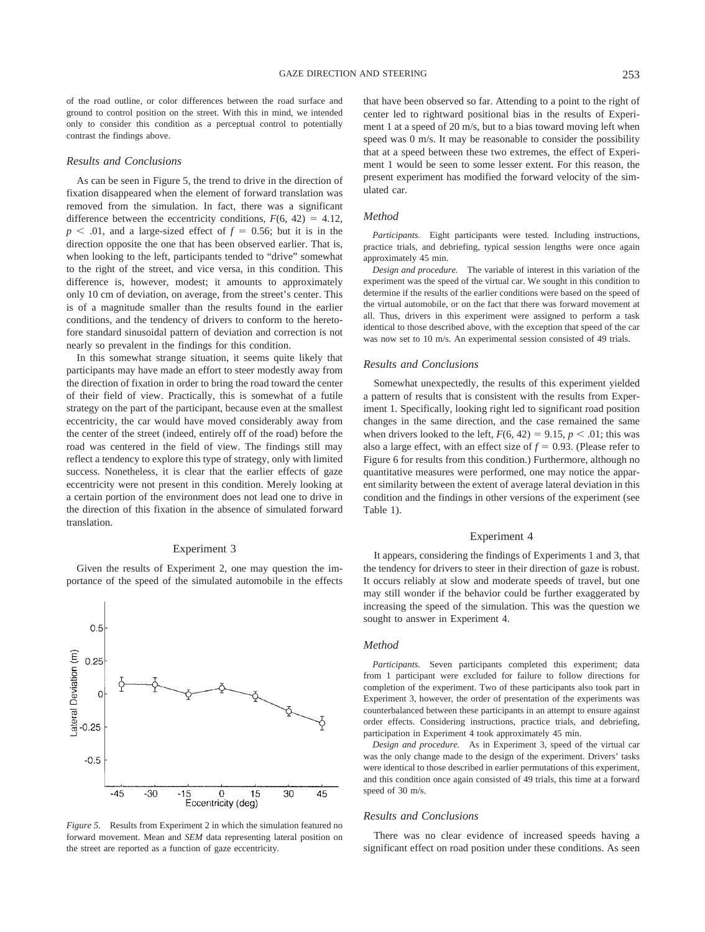of the road outline, or color differences between the road surface and ground to control position on the street. With this in mind, we intended only to consider this condition as a perceptual control to potentially contrast the findings above.

#### *Results and Conclusions*

As can be seen in Figure 5, the trend to drive in the direction of fixation disappeared when the element of forward translation was removed from the simulation. In fact, there was a significant difference between the eccentricity conditions,  $F(6, 42) = 4.12$ ,  $p < .01$ , and a large-sized effect of  $f = 0.56$ ; but it is in the direction opposite the one that has been observed earlier. That is, when looking to the left, participants tended to "drive" somewhat to the right of the street, and vice versa, in this condition. This difference is, however, modest; it amounts to approximately only 10 cm of deviation, on average, from the street's center. This is of a magnitude smaller than the results found in the earlier conditions, and the tendency of drivers to conform to the heretofore standard sinusoidal pattern of deviation and correction is not nearly so prevalent in the findings for this condition.

In this somewhat strange situation, it seems quite likely that participants may have made an effort to steer modestly away from the direction of fixation in order to bring the road toward the center of their field of view. Practically, this is somewhat of a futile strategy on the part of the participant, because even at the smallest eccentricity, the car would have moved considerably away from the center of the street (indeed, entirely off of the road) before the road was centered in the field of view. The findings still may reflect a tendency to explore this type of strategy, only with limited success. Nonetheless, it is clear that the earlier effects of gaze eccentricity were not present in this condition. Merely looking at a certain portion of the environment does not lead one to drive in the direction of this fixation in the absence of simulated forward translation.

# Experiment 3

Given the results of Experiment 2, one may question the importance of the speed of the simulated automobile in the effects



that have been observed so far. Attending to a point to the right of center led to rightward positional bias in the results of Experiment 1 at a speed of 20 m/s, but to a bias toward moving left when speed was 0 m/s. It may be reasonable to consider the possibility that at a speed between these two extremes, the effect of Experiment 1 would be seen to some lesser extent. For this reason, the present experiment has modified the forward velocity of the simulated car.

#### *Method*

*Participants.* Eight participants were tested. Including instructions, practice trials, and debriefing, typical session lengths were once again approximately 45 min.

*Design and procedure.* The variable of interest in this variation of the experiment was the speed of the virtual car. We sought in this condition to determine if the results of the earlier conditions were based on the speed of the virtual automobile, or on the fact that there was forward movement at all. Thus, drivers in this experiment were assigned to perform a task identical to those described above, with the exception that speed of the car was now set to 10 m/s. An experimental session consisted of 49 trials.

# *Results and Conclusions*

Somewhat unexpectedly, the results of this experiment yielded a pattern of results that is consistent with the results from Experiment 1. Specifically, looking right led to significant road position changes in the same direction, and the case remained the same when drivers looked to the left,  $F(6, 42) = 9.15$ ,  $p < .01$ ; this was also a large effect, with an effect size of  $f = 0.93$ . (Please refer to Figure 6 for results from this condition.) Furthermore, although no quantitative measures were performed, one may notice the apparent similarity between the extent of average lateral deviation in this condition and the findings in other versions of the experiment (see Table 1).

# Experiment 4

It appears, considering the findings of Experiments 1 and 3, that the tendency for drivers to steer in their direction of gaze is robust. It occurs reliably at slow and moderate speeds of travel, but one may still wonder if the behavior could be further exaggerated by increasing the speed of the simulation. This was the question we sought to answer in Experiment 4.

#### *Method*

*Participants.* Seven participants completed this experiment; data from 1 participant were excluded for failure to follow directions for completion of the experiment. Two of these participants also took part in Experiment 3, however, the order of presentation of the experiments was counterbalanced between these participants in an attempt to ensure against order effects. Considering instructions, practice trials, and debriefing, participation in Experiment 4 took approximately 45 min.

*Design and procedure.* As in Experiment 3, speed of the virtual car was the only change made to the design of the experiment. Drivers' tasks were identical to those described in earlier permutations of this experiment, and this condition once again consisted of 49 trials, this time at a forward speed of 30 m/s.

## *Results and Conclusions*

There was no clear evidence of increased speeds having a significant effect on road position under these conditions. As seen

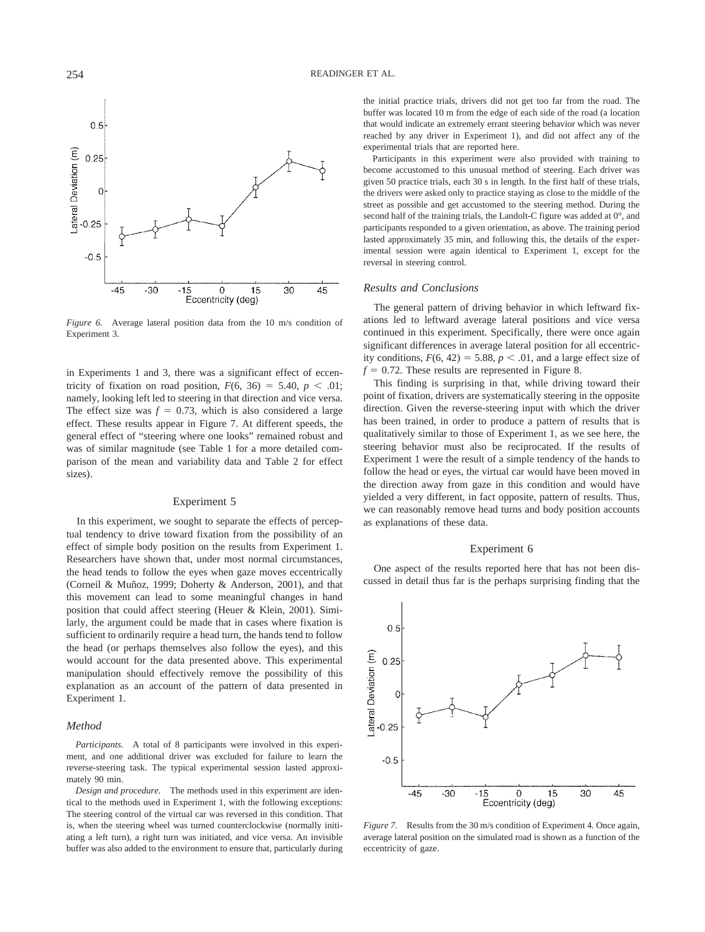

*Figure 6.* Average lateral position data from the 10 m/s condition of Experiment 3.

in Experiments 1 and 3, there was a significant effect of eccentricity of fixation on road position,  $F(6, 36) = 5.40$ ,  $p < .01$ ; namely, looking left led to steering in that direction and vice versa. The effect size was  $f = 0.73$ , which is also considered a large effect. These results appear in Figure 7. At different speeds, the general effect of "steering where one looks" remained robust and was of similar magnitude (see Table 1 for a more detailed comparison of the mean and variability data and Table 2 for effect sizes).

#### Experiment 5

In this experiment, we sought to separate the effects of perceptual tendency to drive toward fixation from the possibility of an effect of simple body position on the results from Experiment 1. Researchers have shown that, under most normal circumstances, the head tends to follow the eyes when gaze moves eccentrically (Corneil & Muñoz, 1999; Doherty & Anderson, 2001), and that this movement can lead to some meaningful changes in hand position that could affect steering (Heuer & Klein, 2001). Similarly, the argument could be made that in cases where fixation is sufficient to ordinarily require a head turn, the hands tend to follow the head (or perhaps themselves also follow the eyes), and this would account for the data presented above. This experimental manipulation should effectively remove the possibility of this explanation as an account of the pattern of data presented in Experiment 1.

## *Method*

*Participants.* A total of 8 participants were involved in this experiment, and one additional driver was excluded for failure to learn the reverse-steering task. The typical experimental session lasted approximately 90 min.

*Design and procedure.* The methods used in this experiment are identical to the methods used in Experiment 1, with the following exceptions: The steering control of the virtual car was reversed in this condition. That is, when the steering wheel was turned counterclockwise (normally initiating a left turn), a right turn was initiated, and vice versa. An invisible buffer was also added to the environment to ensure that, particularly during

the initial practice trials, drivers did not get too far from the road. The buffer was located 10 m from the edge of each side of the road (a location that would indicate an extremely errant steering behavior which was never reached by any driver in Experiment 1), and did not affect any of the experimental trials that are reported here.

Participants in this experiment were also provided with training to become accustomed to this unusual method of steering. Each driver was given 50 practice trials, each 30 s in length. In the first half of these trials, the drivers were asked only to practice staying as close to the middle of the street as possible and get accustomed to the steering method. During the second half of the training trials, the Landolt-C figure was added at 0°, and participants responded to a given orientation, as above. The training period lasted approximately 35 min, and following this, the details of the experimental session were again identical to Experiment 1, except for the reversal in steering control.

# *Results and Conclusions*

The general pattern of driving behavior in which leftward fixations led to leftward average lateral positions and vice versa continued in this experiment. Specifically, there were once again significant differences in average lateral position for all eccentricity conditions,  $F(6, 42) = 5.88$ ,  $p < .01$ , and a large effect size of  $f = 0.72$ . These results are represented in Figure 8.

This finding is surprising in that, while driving toward their point of fixation, drivers are systematically steering in the opposite direction. Given the reverse-steering input with which the driver has been trained, in order to produce a pattern of results that is qualitatively similar to those of Experiment 1, as we see here, the steering behavior must also be reciprocated. If the results of Experiment 1 were the result of a simple tendency of the hands to follow the head or eyes, the virtual car would have been moved in the direction away from gaze in this condition and would have yielded a very different, in fact opposite, pattern of results. Thus, we can reasonably remove head turns and body position accounts as explanations of these data.

# Experiment 6

One aspect of the results reported here that has not been discussed in detail thus far is the perhaps surprising finding that the



*Figure 7.* Results from the 30 m/s condition of Experiment 4. Once again, average lateral position on the simulated road is shown as a function of the eccentricity of gaze.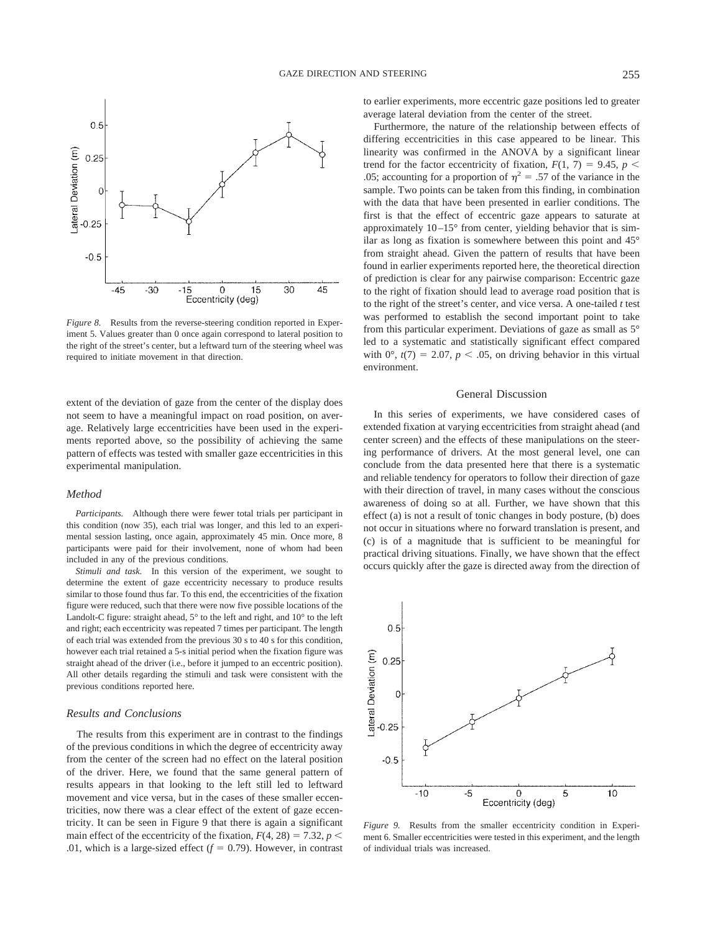

*Figure 8.* Results from the reverse-steering condition reported in Experiment 5. Values greater than 0 once again correspond to lateral position to the right of the street's center, but a leftward turn of the steering wheel was required to initiate movement in that direction.

extent of the deviation of gaze from the center of the display does not seem to have a meaningful impact on road position, on average. Relatively large eccentricities have been used in the experiments reported above, so the possibility of achieving the same pattern of effects was tested with smaller gaze eccentricities in this experimental manipulation.

# *Method*

*Participants.* Although there were fewer total trials per participant in this condition (now 35), each trial was longer, and this led to an experimental session lasting, once again, approximately 45 min. Once more, 8 participants were paid for their involvement, none of whom had been included in any of the previous conditions.

*Stimuli and task.* In this version of the experiment, we sought to determine the extent of gaze eccentricity necessary to produce results similar to those found thus far. To this end, the eccentricities of the fixation figure were reduced, such that there were now five possible locations of the Landolt-C figure: straight ahead, 5° to the left and right, and 10° to the left and right; each eccentricity was repeated 7 times per participant. The length of each trial was extended from the previous 30 s to 40 s for this condition, however each trial retained a 5-s initial period when the fixation figure was straight ahead of the driver (i.e., before it jumped to an eccentric position). All other details regarding the stimuli and task were consistent with the previous conditions reported here.

## *Results and Conclusions*

The results from this experiment are in contrast to the findings of the previous conditions in which the degree of eccentricity away from the center of the screen had no effect on the lateral position of the driver. Here, we found that the same general pattern of results appears in that looking to the left still led to leftward movement and vice versa, but in the cases of these smaller eccentricities, now there was a clear effect of the extent of gaze eccentricity. It can be seen in Figure 9 that there is again a significant main effect of the eccentricity of the fixation,  $F(4, 28) = 7.32$ ,  $p <$ .01, which is a large-sized effect  $(f = 0.79)$ . However, in contrast to earlier experiments, more eccentric gaze positions led to greater average lateral deviation from the center of the street.

Furthermore, the nature of the relationship between effects of differing eccentricities in this case appeared to be linear. This linearity was confirmed in the ANOVA by a significant linear trend for the factor eccentricity of fixation,  $F(1, 7) = 9.45$ ,  $p <$ .05; accounting for a proportion of  $\eta^2 = .57$  of the variance in the sample. Two points can be taken from this finding, in combination with the data that have been presented in earlier conditions. The first is that the effect of eccentric gaze appears to saturate at approximately 10–15° from center, yielding behavior that is similar as long as fixation is somewhere between this point and 45° from straight ahead. Given the pattern of results that have been found in earlier experiments reported here, the theoretical direction of prediction is clear for any pairwise comparison: Eccentric gaze to the right of fixation should lead to average road position that is to the right of the street's center, and vice versa. A one-tailed *t* test was performed to establish the second important point to take from this particular experiment. Deviations of gaze as small as 5° led to a systematic and statistically significant effect compared with  $0^{\circ}$ ,  $t(7) = 2.07$ ,  $p < .05$ , on driving behavior in this virtual environment.

# General Discussion

In this series of experiments, we have considered cases of extended fixation at varying eccentricities from straight ahead (and center screen) and the effects of these manipulations on the steering performance of drivers. At the most general level, one can conclude from the data presented here that there is a systematic and reliable tendency for operators to follow their direction of gaze with their direction of travel, in many cases without the conscious awareness of doing so at all. Further, we have shown that this effect (a) is not a result of tonic changes in body posture, (b) does not occur in situations where no forward translation is present, and (c) is of a magnitude that is sufficient to be meaningful for practical driving situations. Finally, we have shown that the effect occurs quickly after the gaze is directed away from the direction of



*Figure 9.* Results from the smaller eccentricity condition in Experiment 6. Smaller eccentricities were tested in this experiment, and the length of individual trials was increased.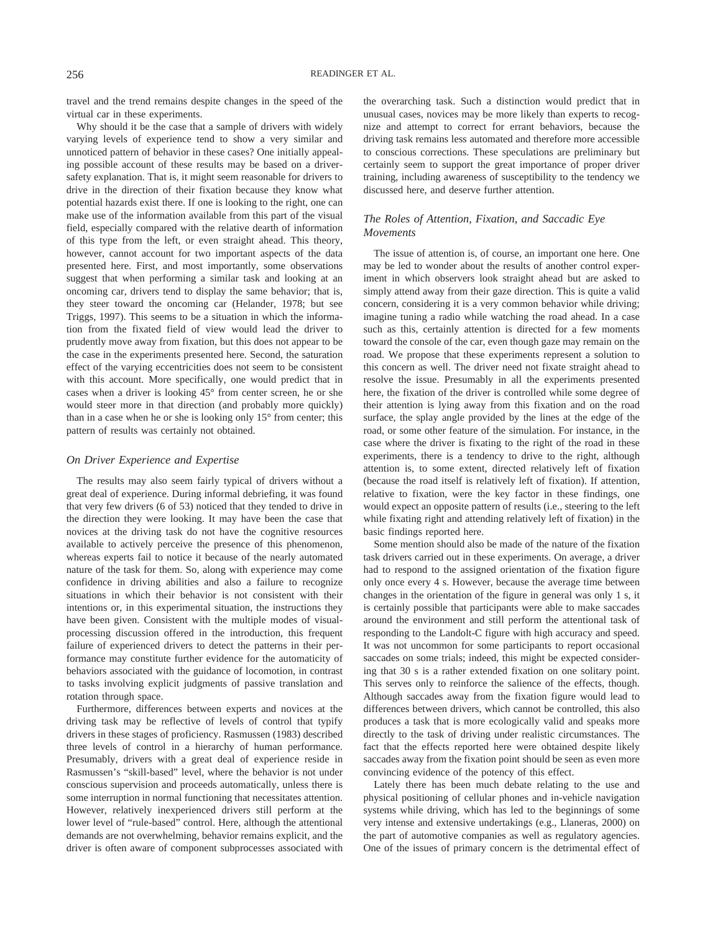travel and the trend remains despite changes in the speed of the virtual car in these experiments.

Why should it be the case that a sample of drivers with widely varying levels of experience tend to show a very similar and unnoticed pattern of behavior in these cases? One initially appealing possible account of these results may be based on a driversafety explanation. That is, it might seem reasonable for drivers to drive in the direction of their fixation because they know what potential hazards exist there. If one is looking to the right, one can make use of the information available from this part of the visual field, especially compared with the relative dearth of information of this type from the left, or even straight ahead. This theory, however, cannot account for two important aspects of the data presented here. First, and most importantly, some observations suggest that when performing a similar task and looking at an oncoming car, drivers tend to display the same behavior; that is, they steer toward the oncoming car (Helander, 1978; but see Triggs, 1997). This seems to be a situation in which the information from the fixated field of view would lead the driver to prudently move away from fixation, but this does not appear to be the case in the experiments presented here. Second, the saturation effect of the varying eccentricities does not seem to be consistent with this account. More specifically, one would predict that in cases when a driver is looking 45° from center screen, he or she would steer more in that direction (and probably more quickly) than in a case when he or she is looking only 15° from center; this pattern of results was certainly not obtained.

# *On Driver Experience and Expertise*

The results may also seem fairly typical of drivers without a great deal of experience. During informal debriefing, it was found that very few drivers (6 of 53) noticed that they tended to drive in the direction they were looking. It may have been the case that novices at the driving task do not have the cognitive resources available to actively perceive the presence of this phenomenon, whereas experts fail to notice it because of the nearly automated nature of the task for them. So, along with experience may come confidence in driving abilities and also a failure to recognize situations in which their behavior is not consistent with their intentions or, in this experimental situation, the instructions they have been given. Consistent with the multiple modes of visualprocessing discussion offered in the introduction, this frequent failure of experienced drivers to detect the patterns in their performance may constitute further evidence for the automaticity of behaviors associated with the guidance of locomotion, in contrast to tasks involving explicit judgments of passive translation and rotation through space.

Furthermore, differences between experts and novices at the driving task may be reflective of levels of control that typify drivers in these stages of proficiency. Rasmussen (1983) described three levels of control in a hierarchy of human performance. Presumably, drivers with a great deal of experience reside in Rasmussen's "skill-based" level, where the behavior is not under conscious supervision and proceeds automatically, unless there is some interruption in normal functioning that necessitates attention. However, relatively inexperienced drivers still perform at the lower level of "rule-based" control. Here, although the attentional demands are not overwhelming, behavior remains explicit, and the driver is often aware of component subprocesses associated with the overarching task. Such a distinction would predict that in unusual cases, novices may be more likely than experts to recognize and attempt to correct for errant behaviors, because the driving task remains less automated and therefore more accessible to conscious corrections. These speculations are preliminary but certainly seem to support the great importance of proper driver training, including awareness of susceptibility to the tendency we discussed here, and deserve further attention.

# *The Roles of Attention, Fixation, and Saccadic Eye Movements*

The issue of attention is, of course, an important one here. One may be led to wonder about the results of another control experiment in which observers look straight ahead but are asked to simply attend away from their gaze direction. This is quite a valid concern, considering it is a very common behavior while driving; imagine tuning a radio while watching the road ahead. In a case such as this, certainly attention is directed for a few moments toward the console of the car, even though gaze may remain on the road. We propose that these experiments represent a solution to this concern as well. The driver need not fixate straight ahead to resolve the issue. Presumably in all the experiments presented here, the fixation of the driver is controlled while some degree of their attention is lying away from this fixation and on the road surface, the splay angle provided by the lines at the edge of the road, or some other feature of the simulation. For instance, in the case where the driver is fixating to the right of the road in these experiments, there is a tendency to drive to the right, although attention is, to some extent, directed relatively left of fixation (because the road itself is relatively left of fixation). If attention, relative to fixation, were the key factor in these findings, one would expect an opposite pattern of results (i.e., steering to the left while fixating right and attending relatively left of fixation) in the basic findings reported here.

Some mention should also be made of the nature of the fixation task drivers carried out in these experiments. On average, a driver had to respond to the assigned orientation of the fixation figure only once every 4 s. However, because the average time between changes in the orientation of the figure in general was only 1 s, it is certainly possible that participants were able to make saccades around the environment and still perform the attentional task of responding to the Landolt-C figure with high accuracy and speed. It was not uncommon for some participants to report occasional saccades on some trials; indeed, this might be expected considering that 30 s is a rather extended fixation on one solitary point. This serves only to reinforce the salience of the effects, though. Although saccades away from the fixation figure would lead to differences between drivers, which cannot be controlled, this also produces a task that is more ecologically valid and speaks more directly to the task of driving under realistic circumstances. The fact that the effects reported here were obtained despite likely saccades away from the fixation point should be seen as even more convincing evidence of the potency of this effect.

Lately there has been much debate relating to the use and physical positioning of cellular phones and in-vehicle navigation systems while driving, which has led to the beginnings of some very intense and extensive undertakings (e.g., Llaneras, 2000) on the part of automotive companies as well as regulatory agencies. One of the issues of primary concern is the detrimental effect of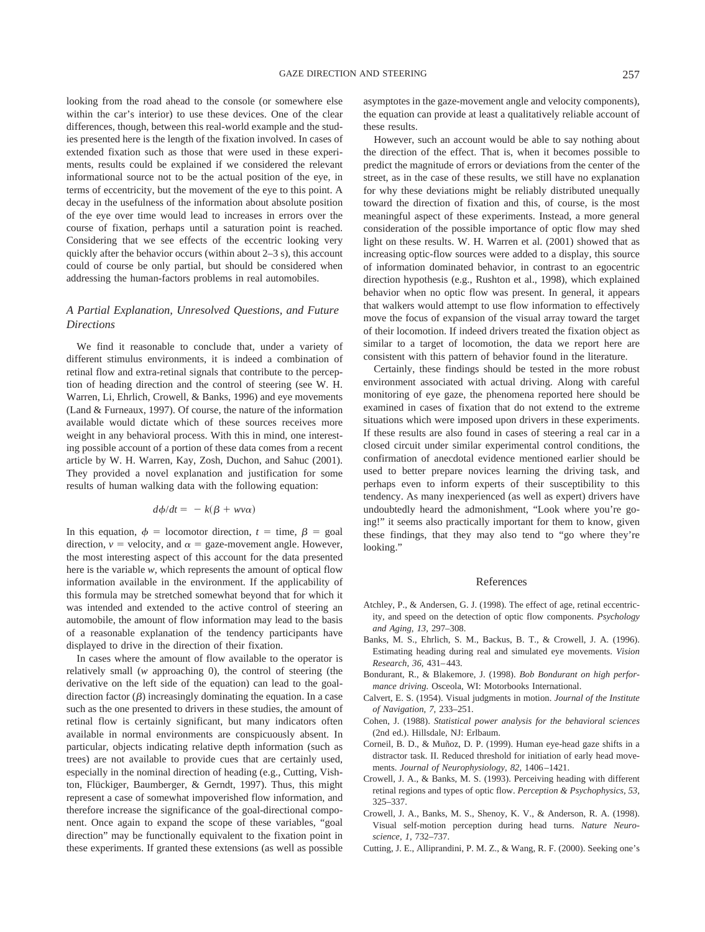looking from the road ahead to the console (or somewhere else within the car's interior) to use these devices. One of the clear differences, though, between this real-world example and the studies presented here is the length of the fixation involved. In cases of extended fixation such as those that were used in these experiments, results could be explained if we considered the relevant informational source not to be the actual position of the eye, in terms of eccentricity, but the movement of the eye to this point. A decay in the usefulness of the information about absolute position of the eye over time would lead to increases in errors over the course of fixation, perhaps until a saturation point is reached. Considering that we see effects of the eccentric looking very quickly after the behavior occurs (within about 2–3 s), this account could of course be only partial, but should be considered when addressing the human-factors problems in real automobiles.

# *A Partial Explanation, Unresolved Questions, and Future Directions*

We find it reasonable to conclude that, under a variety of different stimulus environments, it is indeed a combination of retinal flow and extra-retinal signals that contribute to the perception of heading direction and the control of steering (see W. H. Warren, Li, Ehrlich, Crowell, & Banks, 1996) and eye movements (Land & Furneaux, 1997). Of course, the nature of the information available would dictate which of these sources receives more weight in any behavioral process. With this in mind, one interesting possible account of a portion of these data comes from a recent article by W. H. Warren, Kay, Zosh, Duchon, and Sahuc (2001). They provided a novel explanation and justification for some results of human walking data with the following equation:

$$
d\phi/dt = -k(\beta + w v\alpha)
$$

In this equation,  $\phi$  = locomotor direction,  $t =$  time,  $\beta$  = goal direction,  $v =$  velocity, and  $\alpha =$  gaze-movement angle. However, the most interesting aspect of this account for the data presented here is the variable *w*, which represents the amount of optical flow information available in the environment. If the applicability of this formula may be stretched somewhat beyond that for which it was intended and extended to the active control of steering an automobile, the amount of flow information may lead to the basis of a reasonable explanation of the tendency participants have displayed to drive in the direction of their fixation.

In cases where the amount of flow available to the operator is relatively small (*w* approaching 0), the control of steering (the derivative on the left side of the equation) can lead to the goaldirection factor  $(\beta)$  increasingly dominating the equation. In a case such as the one presented to drivers in these studies, the amount of retinal flow is certainly significant, but many indicators often available in normal environments are conspicuously absent. In particular, objects indicating relative depth information (such as trees) are not available to provide cues that are certainly used, especially in the nominal direction of heading (e.g., Cutting, Vishton, Flückiger, Baumberger,  $\&$  Gerndt, 1997). Thus, this might represent a case of somewhat impoverished flow information, and therefore increase the significance of the goal-directional component. Once again to expand the scope of these variables, "goal direction" may be functionally equivalent to the fixation point in these experiments. If granted these extensions (as well as possible

asymptotes in the gaze-movement angle and velocity components), the equation can provide at least a qualitatively reliable account of these results.

However, such an account would be able to say nothing about the direction of the effect. That is, when it becomes possible to predict the magnitude of errors or deviations from the center of the street, as in the case of these results, we still have no explanation for why these deviations might be reliably distributed unequally toward the direction of fixation and this, of course, is the most meaningful aspect of these experiments. Instead, a more general consideration of the possible importance of optic flow may shed light on these results. W. H. Warren et al. (2001) showed that as increasing optic-flow sources were added to a display, this source of information dominated behavior, in contrast to an egocentric direction hypothesis (e.g., Rushton et al., 1998), which explained behavior when no optic flow was present. In general, it appears that walkers would attempt to use flow information to effectively move the focus of expansion of the visual array toward the target of their locomotion. If indeed drivers treated the fixation object as similar to a target of locomotion, the data we report here are consistent with this pattern of behavior found in the literature.

Certainly, these findings should be tested in the more robust environment associated with actual driving. Along with careful monitoring of eye gaze, the phenomena reported here should be examined in cases of fixation that do not extend to the extreme situations which were imposed upon drivers in these experiments. If these results are also found in cases of steering a real car in a closed circuit under similar experimental control conditions, the confirmation of anecdotal evidence mentioned earlier should be used to better prepare novices learning the driving task, and perhaps even to inform experts of their susceptibility to this tendency. As many inexperienced (as well as expert) drivers have undoubtedly heard the admonishment, "Look where you're going!" it seems also practically important for them to know, given these findings, that they may also tend to "go where they're looking."

## References

- Atchley, P., & Andersen, G. J. (1998). The effect of age, retinal eccentricity, and speed on the detection of optic flow components. *Psychology and Aging, 13,* 297–308.
- Banks, M. S., Ehrlich, S. M., Backus, B. T., & Crowell, J. A. (1996). Estimating heading during real and simulated eye movements. *Vision Research, 36,* 431–443.
- Bondurant, R., & Blakemore, J. (1998). *Bob Bondurant on high performance driving.* Osceola, WI: Motorbooks International.
- Calvert, E. S. (1954). Visual judgments in motion. *Journal of the Institute of Navigation, 7,* 233–251.
- Cohen, J. (1988). *Statistical power analysis for the behavioral sciences* (2nd ed.). Hillsdale, NJ: Erlbaum.
- Corneil, B. D., & Muñoz, D. P. (1999). Human eye-head gaze shifts in a distractor task. II. Reduced threshold for initiation of early head movements. *Journal of Neurophysiology, 82,* 1406–1421.
- Crowell, J. A., & Banks, M. S. (1993). Perceiving heading with different retinal regions and types of optic flow. *Perception & Psychophysics, 53,* 325–337.
- Crowell, J. A., Banks, M. S., Shenoy, K. V., & Anderson, R. A. (1998). Visual self-motion perception during head turns. *Nature Neuroscience, 1,* 732–737.
- Cutting, J. E., Alliprandini, P. M. Z., & Wang, R. F. (2000). Seeking one's